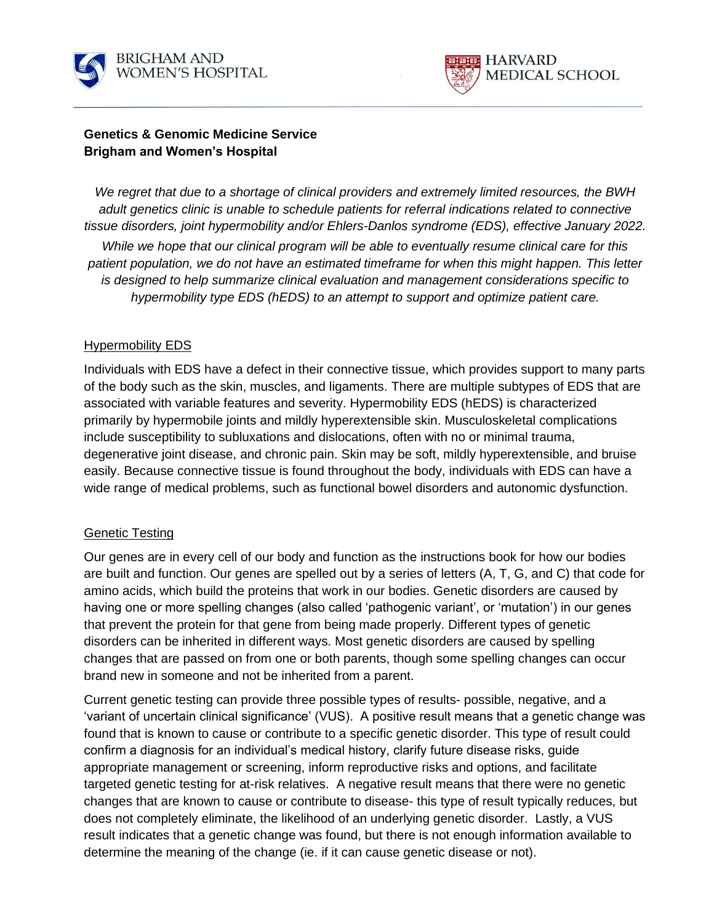



## **Genetics & Genomic Medicine Service Brigham and Women's Hospital**

*We regret that due to a shortage of clinical providers and extremely limited resources, the BWH adult genetics clinic is unable to schedule patients for referral indications related to connective tissue disorders, joint hypermobility and/or Ehlers-Danlos syndrome (EDS), effective January 2022. While we hope that our clinical program will be able to eventually resume clinical care for this patient population, we do not have an estimated timeframe for when this might happen. This letter is designed to help summarize clinical evaluation and management considerations specific to hypermobility type EDS (hEDS) to an attempt to support and optimize patient care.*

### Hypermobility EDS

Individuals with EDS have a defect in their connective tissue, which provides support to many parts of the body such as the skin, muscles, and ligaments. There are multiple subtypes of EDS that are associated with variable features and severity. Hypermobility EDS (hEDS) is characterized primarily by hypermobile joints and mildly hyperextensible skin. Musculoskeletal complications include susceptibility to subluxations and dislocations, often with no or minimal trauma, degenerative joint disease, and chronic pain. Skin may be soft, mildly hyperextensible, and bruise easily. Because connective tissue is found throughout the body, individuals with EDS can have a wide range of medical problems, such as functional bowel disorders and autonomic dysfunction.

### Genetic Testing

Our genes are in every cell of our body and function as the instructions book for how our bodies are built and function. Our genes are spelled out by a series of letters (A, T, G, and C) that code for amino acids, which build the proteins that work in our bodies. Genetic disorders are caused by having one or more spelling changes (also called 'pathogenic variant', or 'mutation') in our genes that prevent the protein for that gene from being made properly. Different types of genetic disorders can be inherited in different ways. Most genetic disorders are caused by spelling changes that are passed on from one or both parents, though some spelling changes can occur brand new in someone and not be inherited from a parent.

Current genetic testing can provide three possible types of results- possible, negative, and a 'variant of uncertain clinical significance' (VUS). A positive result means that a genetic change was found that is known to cause or contribute to a specific genetic disorder. This type of result could confirm a diagnosis for an individual's medical history, clarify future disease risks, guide appropriate management or screening, inform reproductive risks and options, and facilitate targeted genetic testing for at-risk relatives. A negative result means that there were no genetic changes that are known to cause or contribute to disease- this type of result typically reduces, but does not completely eliminate, the likelihood of an underlying genetic disorder. Lastly, a VUS result indicates that a genetic change was found, but there is not enough information available to determine the meaning of the change (ie. if it can cause genetic disease or not).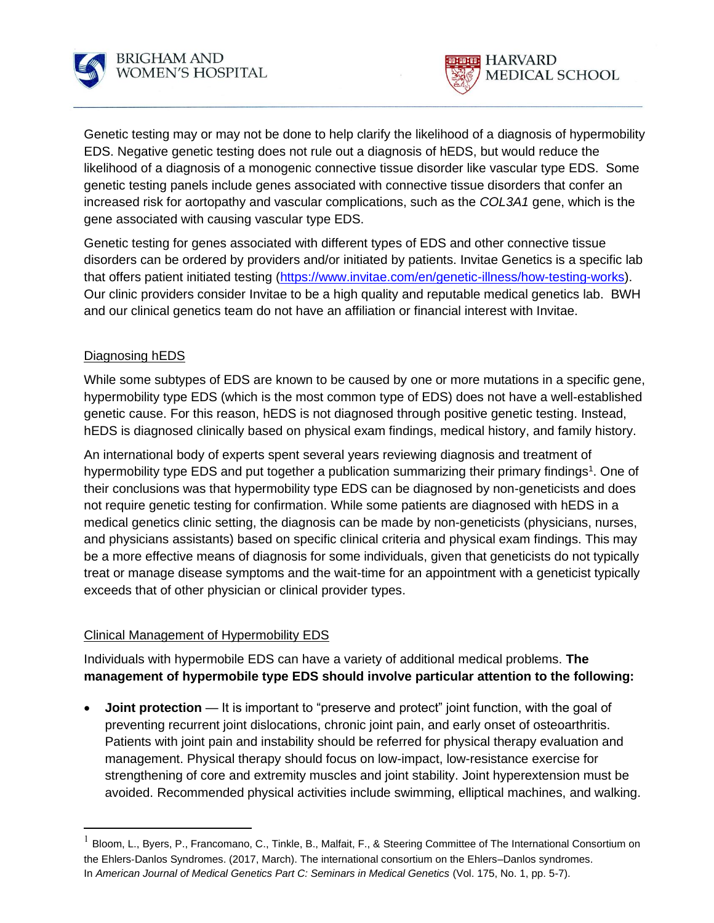



Genetic testing may or may not be done to help clarify the likelihood of a diagnosis of hypermobility EDS. Negative genetic testing does not rule out a diagnosis of hEDS, but would reduce the likelihood of a diagnosis of a monogenic connective tissue disorder like vascular type EDS. Some genetic testing panels include genes associated with connective tissue disorders that confer an increased risk for aortopathy and vascular complications, such as the *COL3A1* gene, which is the gene associated with causing vascular type EDS.

Genetic testing for genes associated with different types of EDS and other connective tissue disorders can be ordered by providers and/or initiated by patients. Invitae Genetics is a specific lab that offers patient initiated testing [\(https://www.invitae.com/en/genetic-illness/how-testing-works\)](https://www.invitae.com/en/genetic-illness/how-testing-works). Our clinic providers consider Invitae to be a high quality and reputable medical genetics lab. BWH and our clinical genetics team do not have an affiliation or financial interest with Invitae.

# Diagnosing hEDS

While some subtypes of EDS are known to be caused by one or more mutations in a specific gene, hypermobility type EDS (which is the most common type of EDS) does not have a well-established genetic cause. For this reason, hEDS is not diagnosed through positive genetic testing. Instead, hEDS is diagnosed clinically based on physical exam findings, medical history, and family history.

An international body of experts spent several years reviewing diagnosis and treatment of hypermobility type EDS and put together a publication summarizing their primary findings<sup>1</sup>. One of their conclusions was that hypermobility type EDS can be diagnosed by non-geneticists and does not require genetic testing for confirmation. While some patients are diagnosed with hEDS in a medical genetics clinic setting, the diagnosis can be made by non-geneticists (physicians, nurses, and physicians assistants) based on specific clinical criteria and physical exam findings. This may be a more effective means of diagnosis for some individuals, given that geneticists do not typically treat or manage disease symptoms and the wait-time for an appointment with a geneticist typically exceeds that of other physician or clinical provider types.

### Clinical Management of Hypermobility EDS

Individuals with hypermobile EDS can have a variety of additional medical problems. **The management of hypermobile type EDS should involve particular attention to the following:**

**Joint protection** — It is important to "preserve and protect" joint function, with the goal of preventing recurrent joint dislocations, chronic joint pain, and early onset of osteoarthritis. Patients with joint pain and instability should be referred for physical therapy evaluation and management. Physical therapy should focus on low-impact, low-resistance exercise for strengthening of core and extremity muscles and joint stability. Joint hyperextension must be avoided. Recommended physical activities include swimming, elliptical machines, and walking.

 $^1$  Bloom, L., Byers, P., Francomano, C., Tinkle, B., Malfait, F., & Steering Committee of The International Consortium on the Ehlers‐Danlos Syndromes. (2017, March). The international consortium on the Ehlers–Danlos syndromes. In *American Journal of Medical Genetics Part C: Seminars in Medical Genetics* (Vol. 175, No. 1, pp. 5-7).